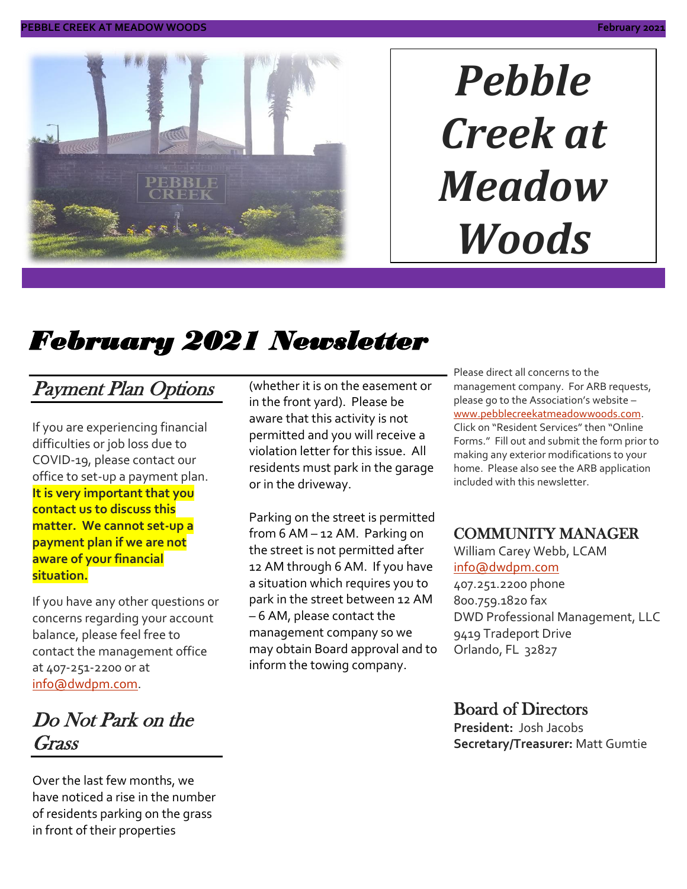

# *Pebble Creek at Meadow Woods*

# *February 2021 Newsletter*

### Payment Plan Options

If you are experiencing financial difficulties or job loss due to COVID-19, please contact our office to set-up a payment plan. **It is very important that you contact us to discuss this matter. We cannot set-up a payment plan if we are not aware of your financial situation.**

If you have any other questions or concerns regarding your account balance, please feel free to contact the management office at 407-251-2200 or at [info@dwdpm.com.](mailto:info@dwdpm.com)

### Do Not Park on the Grass

Over the last few months, we have noticed a rise in the number of residents parking on the grass in front of their properties

(whether it is on the easement or in the front yard). Please be aware that this activity is not permitted and you will receive a violation letter for this issue. All residents must park in the garage or in the driveway.

Parking on the street is permitted from 6 AM – 12 AM. Parking on the street is not permitted after 12 AM through 6 AM. If you have a situation which requires you to park in the street between 12 AM – 6 AM, please contact the management company so we may obtain Board approval and to inform the towing company.

Please direct all concerns to the management company. For ARB requests, please go to the Association's website – [www.pebblecreekatmeadowwoods.com.](http://www.pebblecreekatmeadowwoods.com/) Click on "Resident Services" then "Online Forms." Fill out and submit the form prior to making any exterior modifications to your home. Please also see the ARB application included with this newsletter.

#### COMMUNITY MANAGER

William Carey Webb, LCAM [info@dwdpm.com](mailto:info@dwdpm.com)  407.251.2200 phone 800.759.1820 fax DWD Professional Management, LLC 9419 Tradeport Drive Orlando, FL 32827

#### Board of Directors

**President:** Josh Jacobs **Secretary/Treasurer:** Matt Gumtie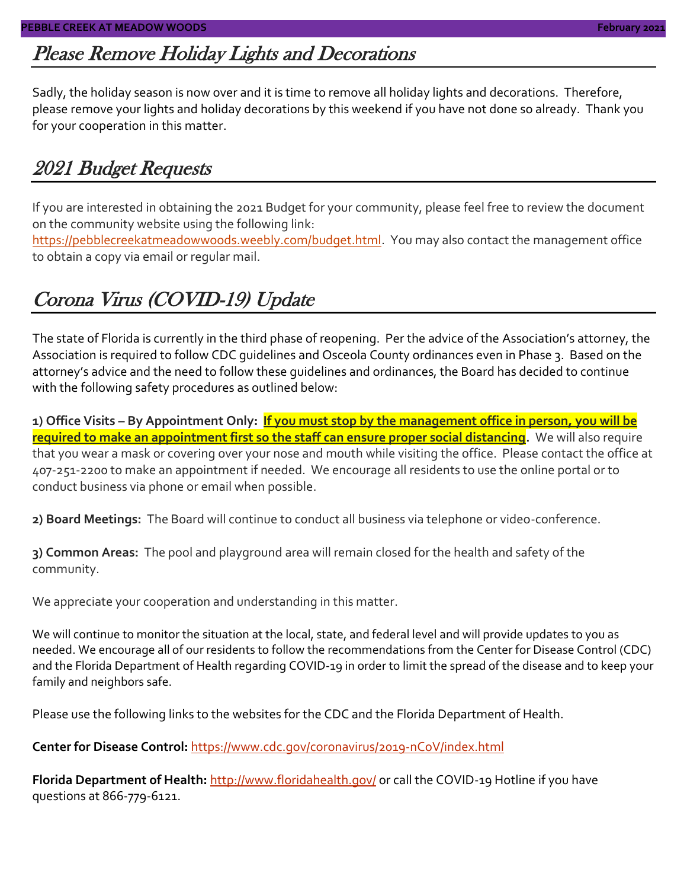### Please Remove Holiday Lights and Decorations

Sadly, the holiday season is now over and it is time to remove all holiday lights and decorations. Therefore, please remove your lights and holiday decorations by this weekend if you have not done so already. Thank you for your cooperation in this matter.

### 2021 Budget Requests

If you are interested in obtaining the 2021 Budget for your community, please feel free to review the document on the community website using the following link:

[https://pebblecreekatmeadowwoods.weebly.com/budget.html.](https://pebblecreekatmeadowwoods.weebly.com/budget.html) You may also contact the management office to obtain a copy via email or regular mail.

## Corona Virus (COVID-19) Update

The state of Florida is currently in the third phase of reopening. Per the advice of the Association's attorney, the Association is required to follow CDC guidelines and Osceola County ordinances even in Phase 3. Based on the attorney's advice and the need to follow these guidelines and ordinances, the Board has decided to continue with the following safety procedures as outlined below:

**1) Office Visits – By Appointment Only: If you must stop by the management office in person, you will be required to make an appointment first so the staff can ensure proper social distancing.** We will also require that you wear a mask or covering over your nose and mouth while visiting the office. Please contact the office at 407-251-2200 to make an appointment if needed. We encourage all residents to use the online portal or to conduct business via phone or email when possible.

**2) Board Meetings:** The Board will continue to conduct all business via telephone or video-conference.

**3) Common Areas:** The pool and playground area will remain closed for the health and safety of the community.

We appreciate your cooperation and understanding in this matter.

We will continue to monitor the situation at the local, state, and federal level and will provide updates to you as needed. We encourage all of our residents to follow the recommendations from the Center for Disease Control (CDC) and the Florida Department of Health regarding COVID-19 in order to limit the spread of the disease and to keep your family and neighbors safe.

Please use the following links to the websites for the CDC and the Florida Department of Health.

**Center for Disease Control:** <https://www.cdc.gov/coronavirus/2019-nCoV/index.html>

Florida Department of Health: <http://www.floridahealth.gov/> or call the COVID-19 Hotline if you have questions at 866-779-6121.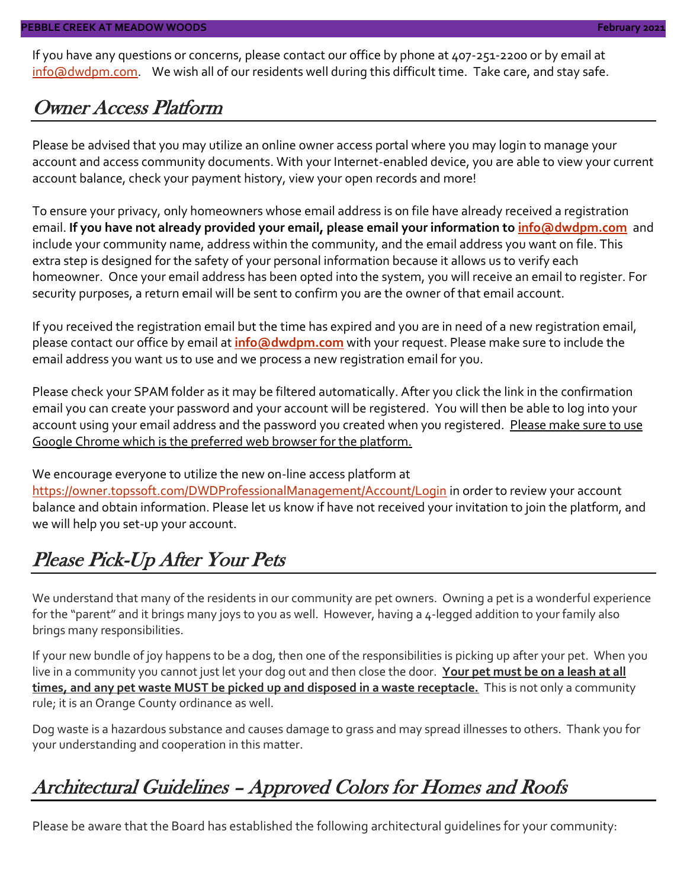If you have any questions or concerns, please contact our office by phone at 407-251-2200 or by email at [info@dwdpm.com.](mailto:info@dwdpm.com) We wish all of our residents well during this difficult time. Take care, and stay safe.

#### Owner Access Platform

Please be advised that you may utilize an online owner access portal where you may login to manage your account and access community documents. With your Internet-enabled device, you are able to view your current account balance, check your payment history, view your open records and more!

To ensure your privacy, only homeowners whose email address is on file have already received a registration email. **If you have not already provided your email, please email your information to [info@dwdpm.com](mailto:info@dwdpm.com)** and include your community name, address within the community, and the email address you want on file. This extra step is designed for the safety of your personal information because it allows us to verify each homeowner. Once your email address has been opted into the system, you will receive an email to register. For security purposes, a return email will be sent to confirm you are the owner of that email account.

If you received the registration email but the time has expired and you are in need of a new registration email, please contact our office by email at **[info@dwdpm.com](mailto:info@dwdpm.com)** with your request. Please make sure to include the email address you want us to use and we process a new registration email for you.

Please check your SPAM folder as it may be filtered automatically. After you click the link in the confirmation email you can create your password and your account will be registered. You will then be able to log into your account using your email address and the password you created when you registered. Please make sure to use Google Chrome which is the preferred web browser for the platform.

We encourage everyone to utilize the new on-line access platform at

<https://owner.topssoft.com/DWDProfessionalManagement/Account/Login> in order to review your account balance and obtain information. Please let us know if have not received your invitation to join the platform, and we will help you set-up your account.

### Please Pick-Up After Your Pets

We understand that many of the residents in our community are pet owners. Owning a pet is a wonderful experience for the "parent" and it brings many joys to you as well. However, having a 4-legged addition to your family also brings many responsibilities.

If your new bundle of joy happens to be a dog, then one of the responsibilities is picking up after your pet. When you live in a community you cannot just let your dog out and then close the door. **Your pet must be on a leash at all times, and any pet waste MUST be picked up and disposed in a waste receptacle.** This is not only a community rule; it is an Orange County ordinance as well.

Dog waste is a hazardous substance and causes damage to grass and may spread illnesses to others. Thank you for your understanding and cooperation in this matter.

### Architectural Guidelines – Approved Colors for Homes and Roofs

Please be aware that the Board has established the following architectural guidelines for your community: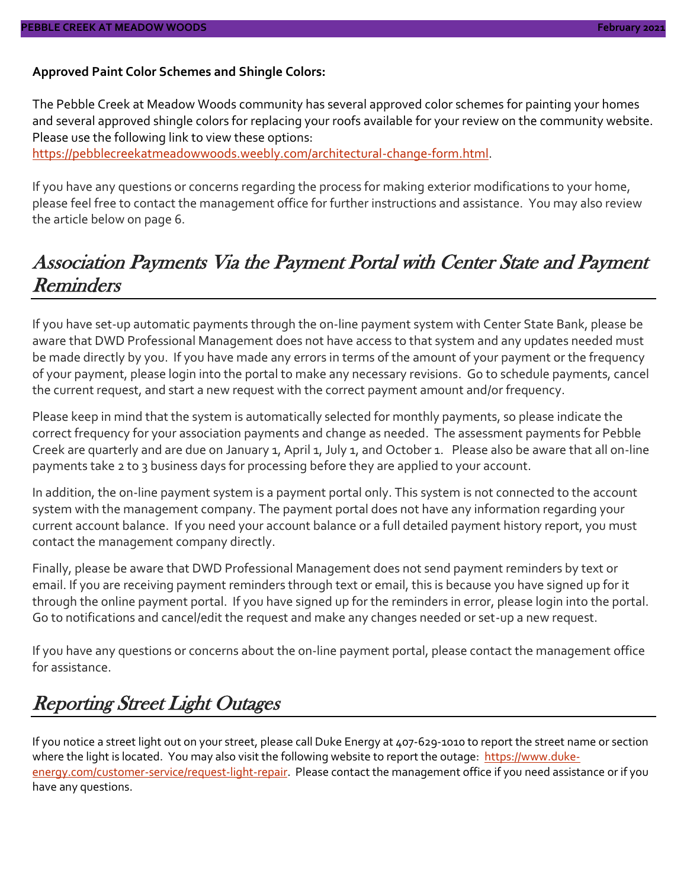#### **Approved Paint Color Schemes and Shingle Colors:**

The Pebble Creek at Meadow Woods community has several approved color schemes for painting your homes and several approved shingle colors for replacing your roofs available for your review on the community website. Please use the following link to view these options:

[https://pebblecreekatmeadowwoods.weebly.com/architectural-change-form.html.](https://pebblecreekatmeadowwoods.weebly.com/architectural-change-form.html)

If you have any questions or concerns regarding the process for making exterior modifications to your home, please feel free to contact the management office for further instructions and assistance. You may also review the article below on page 6.

#### Association Payments Via the Payment Portal with Center State and Payment **Reminders**

If you have set-up automatic payments through the on-line payment system with Center State Bank, please be aware that DWD Professional Management does not have access to that system and any updates needed must be made directly by you. If you have made any errors in terms of the amount of your payment or the frequency of your payment, please login into the portal to make any necessary revisions. Go to schedule payments, cancel the current request, and start a new request with the correct payment amount and/or frequency.

Please keep in mind that the system is automatically selected for monthly payments, so please indicate the correct frequency for your association payments and change as needed. The assessment payments for Pebble Creek are quarterly and are due on January 1, April 1, July 1, and October 1. Please also be aware that all on-line payments take 2 to 3 business days for processing before they are applied to your account.

In addition, the on-line payment system is a payment portal only. This system is not connected to the account system with the management company. The payment portal does not have any information regarding your current account balance. If you need your account balance or a full detailed payment history report, you must contact the management company directly.

Finally, please be aware that DWD Professional Management does not send payment reminders by text or email. If you are receiving payment reminders through text or email, this is because you have signed up for it through the online payment portal. If you have signed up for the reminders in error, please login into the portal. Go to notifications and cancel/edit the request and make any changes needed or set-up a new request.

If you have any questions or concerns about the on-line payment portal, please contact the management office for assistance.

### Reporting Street Light Outages

If you notice a street light out on your street, please call Duke Energy at 407-629-1010 to report the street name or section where the light is located. You may also visit the following website to report the outage: [https://www.duke](https://www.duke-energy.com/customer-service/request-light-repair)[energy.com/customer-service/request-light-repair.](https://www.duke-energy.com/customer-service/request-light-repair) Please contact the management office if you need assistance or if you have any questions.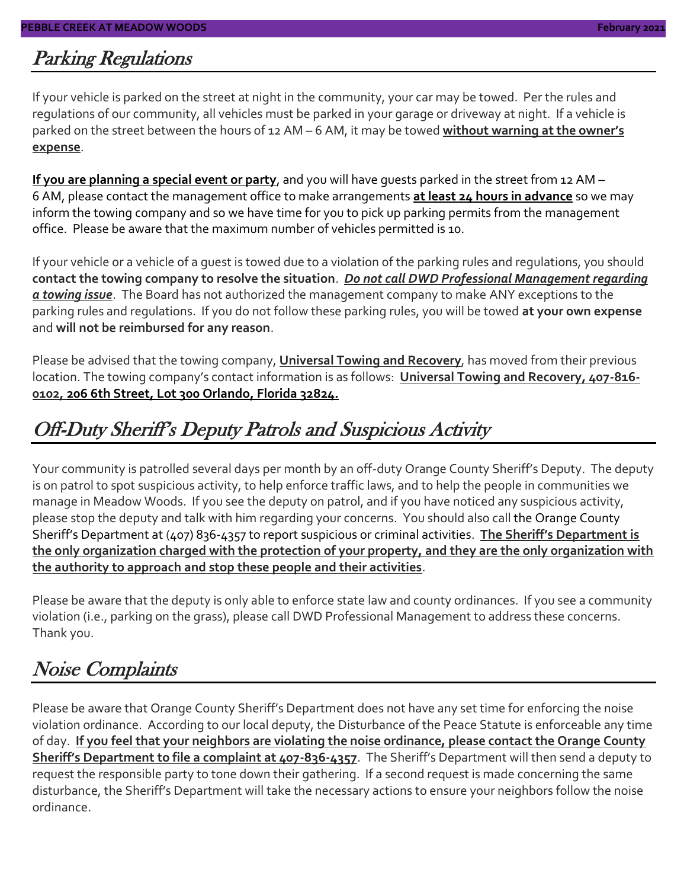#### Parking Regulations

If your vehicle is parked on the street at night in the community, your car may be towed. Per the rules and regulations of our community, all vehicles must be parked in your garage or driveway at night. If a vehicle is parked on the street between the hours of 12 AM – 6 AM, it may be towed **without warning at the owner's expense**.

**If you are planning a special event or party**, and you will have guests parked in the street from 12 AM – 6 AM, please contact the management office to make arrangements **at least 24 hours in advance** so we may inform the towing company and so we have time for you to pick up parking permits from the management office. Please be aware that the maximum number of vehicles permitted is 10.

If your vehicle or a vehicle of a guest is towed due to a violation of the parking rules and regulations, you should **contact the towing company to resolve the situation**. *Do not call DWD Professional Management regarding a towing issue*. The Board has not authorized the management company to make ANY exceptions to the parking rules and regulations. If you do not follow these parking rules, you will be towed **at your own expense** and **will not be reimbursed for any reason**.

Please be advised that the towing company, **Universal Towing and Recovery**, has moved from their previous location. The towing company's contact information is as follows: **Universal Towing and Recovery, 407-816- 0102, 206 6th Street, Lot 300 Orlando, Florida 32824.**

### Off-Duty Sheriff's Deputy Patrols and Suspicious Activity

Your community is patrolled several days per month by an off-duty Orange County Sheriff's Deputy. The deputy is on patrol to spot suspicious activity, to help enforce traffic laws, and to help the people in communities we manage in Meadow Woods. If you see the deputy on patrol, and if you have noticed any suspicious activity, please stop the deputy and talk with him regarding your concerns. You should also call the Orange County Sheriff's Department at (407) 836-4357 to report suspicious or criminal activities. **The Sheriff's Department is the only organization charged with the protection of your property, and they are the only organization with the authority to approach and stop these people and their activities**.

Please be aware that the deputy is only able to enforce state law and county ordinances. If you see a community violation (i.e., parking on the grass), please call DWD Professional Management to address these concerns. Thank you.

### Noise Complaints

Please be aware that Orange County Sheriff's Department does not have any set time for enforcing the noise violation ordinance. According to our local deputy, the Disturbance of the Peace Statute is enforceable any time of day. **If you feel that your neighbors are violating the noise ordinance, please contact the Orange County Sheriff's Department to file a complaint at 407-836-4357**. The Sheriff's Department will then send a deputy to request the responsible party to tone down their gathering. If a second request is made concerning the same disturbance, the Sheriff's Department will take the necessary actions to ensure your neighbors follow the noise ordinance.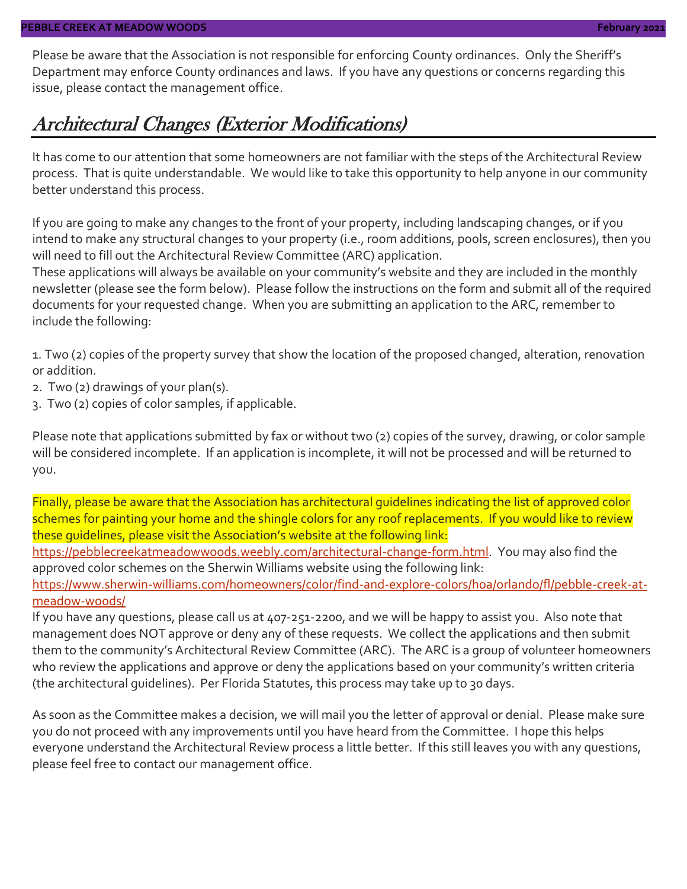Please be aware that the Association is not responsible for enforcing County ordinances. Only the Sheriff's Department may enforce County ordinances and laws. If you have any questions or concerns regarding this issue, please contact the management office.

#### Architectural Changes (Exterior Modifications)

It has come to our attention that some homeowners are not familiar with the steps of the Architectural Review process. That is quite understandable. We would like to take this opportunity to help anyone in our community better understand this process.

If you are going to make any changes to the front of your property, including landscaping changes, or if you intend to make any structural changes to your property (i.e., room additions, pools, screen enclosures), then you will need to fill out the Architectural Review Committee (ARC) application.

These applications will always be available on your community's website and they are included in the monthly newsletter (please see the form below). Please follow the instructions on the form and submit all of the required documents for your requested change. When you are submitting an application to the ARC, remember to include the following:

1. Two (2) copies of the property survey that show the location of the proposed changed, alteration, renovation or addition.

- 2. Two (2) drawings of your plan(s).
- 3. Two (2) copies of color samples, if applicable.

Please note that applications submitted by fax or without two (2) copies of the survey, drawing, or color sample will be considered incomplete. If an application is incomplete, it will not be processed and will be returned to you.

Finally, please be aware that the Association has architectural guidelines indicating the list of approved color schemes for painting your home and the shingle colors for any roof replacements. If you would like to review these guidelines, please visit the Association's website at the following link:

[https://pebblecreekatmeadowwoods.weebly.com/architectural-change-form.html.](https://pebblecreekatmeadowwoods.weebly.com/architectural-change-form.html) You may also find the approved color schemes on the Sherwin Williams website using the following link:

[https://www.sherwin-williams.com/homeowners/color/find-and-explore-colors/hoa/orlando/fl/pebble-creek-at](https://www.sherwin-williams.com/homeowners/color/find-and-explore-colors/hoa/orlando/fl/pebble-creek-at-meadow-woods/)[meadow-woods/](https://www.sherwin-williams.com/homeowners/color/find-and-explore-colors/hoa/orlando/fl/pebble-creek-at-meadow-woods/)

If you have any questions, please call us at 407-251-2200, and we will be happy to assist you. Also note that management does NOT approve or deny any of these requests. We collect the applications and then submit them to the community's Architectural Review Committee (ARC). The ARC is a group of volunteer homeowners who review the applications and approve or deny the applications based on your community's written criteria (the architectural guidelines). Per Florida Statutes, this process may take up to 30 days.

As soon as the Committee makes a decision, we will mail you the letter of approval or denial. Please make sure you do not proceed with any improvements until you have heard from the Committee. I hope this helps everyone understand the Architectural Review process a little better. If this still leaves you with any questions, please feel free to contact our management office.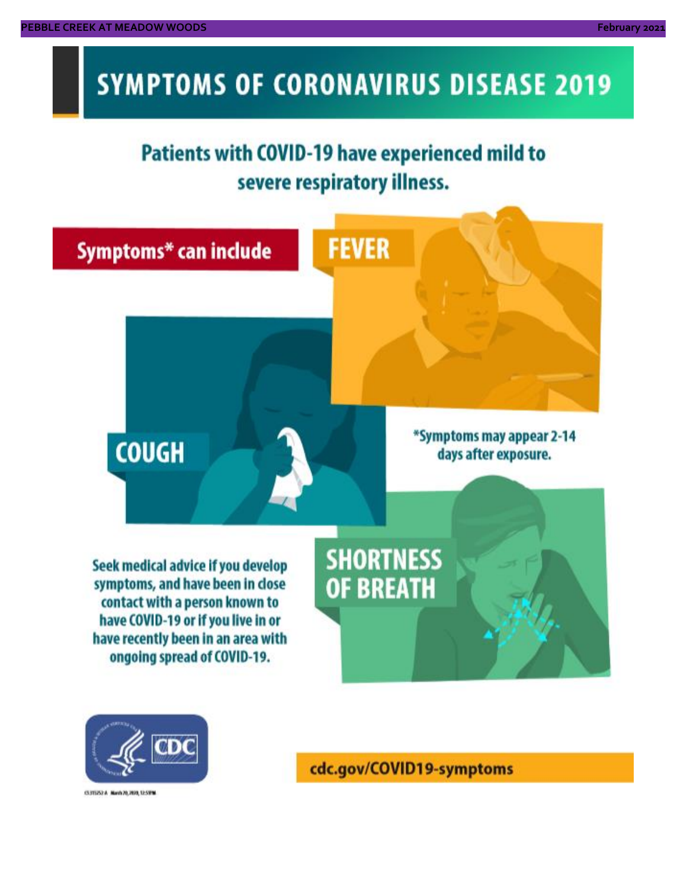# **SYMPTOMS OF CORONAVIRUS DISEASE 2019**

# **Patients with COVID-19 have experienced mild to** severe respiratory illness.





03/02/14 NovA20, 2020, 12:59 M

cdc.gov/COVID19-symptoms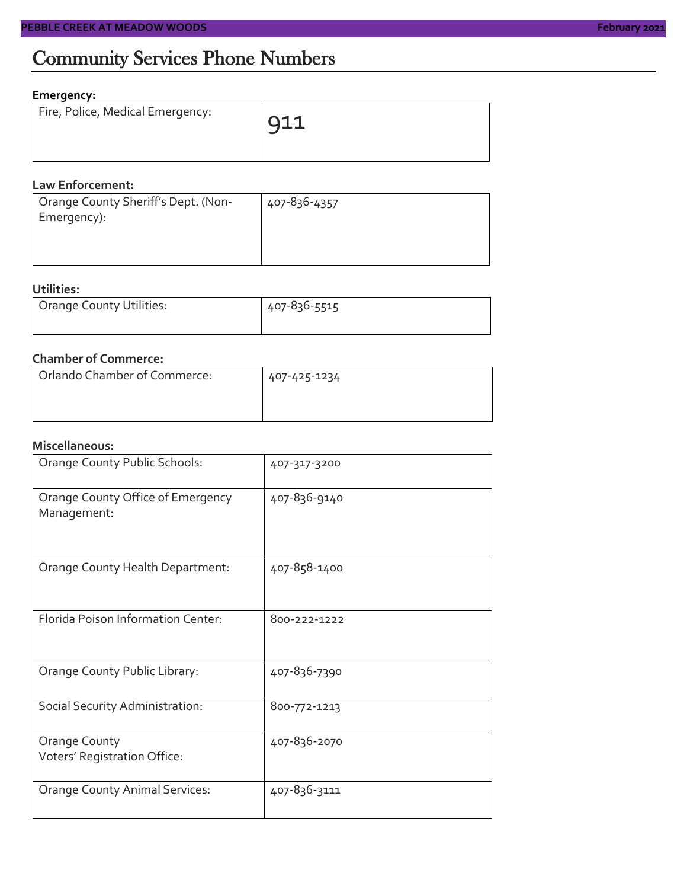### Community Services Phone Numbers

#### **Emergency:**

| Fire, Police, Medical Emergency: | 911 |
|----------------------------------|-----|
|                                  |     |

#### **Law Enforcement:**

| Orange County Sheriff's Dept. (Non-<br>Emergency): | 407-836-4357 |
|----------------------------------------------------|--------------|
|                                                    |              |

#### **Utilities:**

| Orange County Utilities: | 407-836-5515 |  |  |
|--------------------------|--------------|--|--|
|                          |              |  |  |

#### **Chamber of Commerce:**

| Orlando Chamber of Commerce: | 407-425-1234 |  |  |
|------------------------------|--------------|--|--|
|                              |              |  |  |
|                              |              |  |  |

#### **Miscellaneous:**

| Orange County Public Schools:                    | 407-317-3200 |
|--------------------------------------------------|--------------|
| Orange County Office of Emergency<br>Management: | 407-836-9140 |
| Orange County Health Department:                 | 407-858-1400 |
| Florida Poison Information Center:               | 800-222-1222 |
| Orange County Public Library:                    | 407-836-7390 |
| Social Security Administration:                  | 800-772-1213 |
| Orange County<br>Voters' Registration Office:    | 407-836-2070 |
| <b>Orange County Animal Services:</b>            | 407-836-3111 |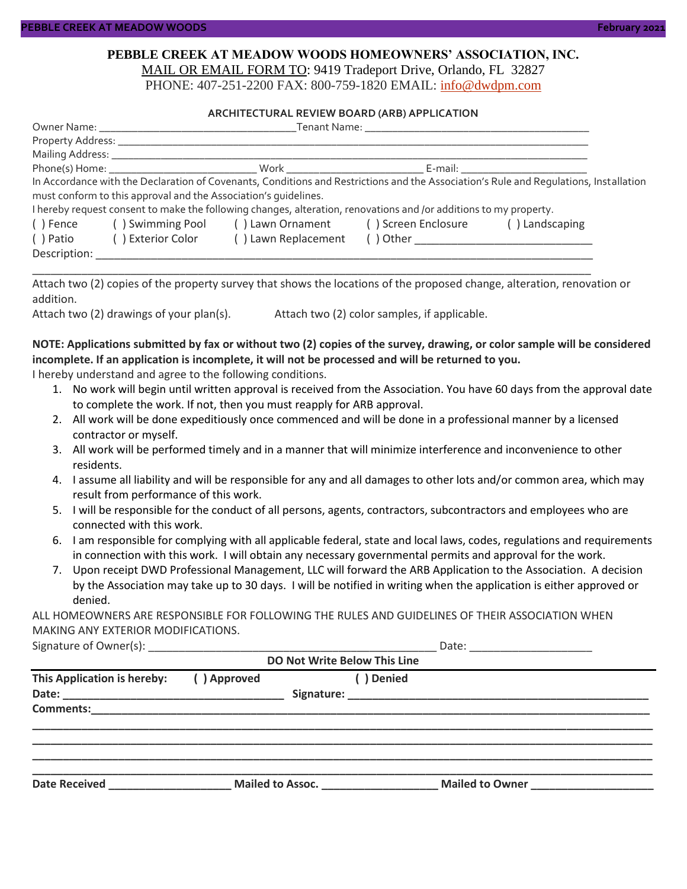#### **PEBBLE CREEK AT MEADOW WOODS HOMEOWNERS' ASSOCIATION, INC.** MAIL OR EMAIL FORM TO: 9419 Tradeport Drive, Orlando, FL 32827

PHONE: 407-251-2200 FAX: 800-759-1820 EMAIL: [info@dwdpm.com](mailto:info@dwdpm.com)

#### **ARCHITECTURAL REVIEW BOARD (ARB) APPLICATION**

|              |                                                                 | Phone(s) Home: Nork Work Now Work News Age of the United States of the United States of the United States of the United States of the United States of the United States of the United States of the United States of the Unit |                                                                                                                                       |
|--------------|-----------------------------------------------------------------|--------------------------------------------------------------------------------------------------------------------------------------------------------------------------------------------------------------------------------|---------------------------------------------------------------------------------------------------------------------------------------|
|              |                                                                 |                                                                                                                                                                                                                                | In Accordance with the Declaration of Covenants, Conditions and Restrictions and the Association's Rule and Regulations, Installation |
|              | must conform to this approval and the Association's quidelines. |                                                                                                                                                                                                                                |                                                                                                                                       |
|              |                                                                 | I hereby request consent to make the following changes, alteration, renovations and /or additions to my property.                                                                                                              |                                                                                                                                       |
|              |                                                                 | () Fence () Swimming Pool () Lawn Ornament () Screen Enclosure                                                                                                                                                                 | () Landscaping                                                                                                                        |
| () Patio     | ( ) Exterior Color                                              | () Lawn Replacement                                                                                                                                                                                                            |                                                                                                                                       |
| Description: |                                                                 |                                                                                                                                                                                                                                |                                                                                                                                       |

Attach two (2) copies of the property survey that shows the locations of the proposed change, alteration, renovation or addition.

\_\_\_\_\_\_\_\_\_\_\_\_\_\_\_\_\_\_\_\_\_\_\_\_\_\_\_\_\_\_\_\_\_\_\_\_\_\_\_\_\_\_\_\_\_\_\_\_\_\_\_\_\_\_\_\_\_\_\_\_\_\_\_\_\_\_\_\_\_\_\_\_\_\_\_\_\_\_\_\_\_\_\_\_\_\_\_\_\_\_\_

Attach two (2) drawings of your plan(s). Attach two (2) color samples, if applicable.

#### **NOTE: Applications submitted by fax or without two (2) copies of the survey, drawing, or color sample will be considered incomplete. If an application is incomplete, it will not be processed and will be returned to you.**

I hereby understand and agree to the following conditions.

- 1. No work will begin until written approval is received from the Association. You have 60 days from the approval date to complete the work. If not, then you must reapply for ARB approval.
- 2. All work will be done expeditiously once commenced and will be done in a professional manner by a licensed contractor or myself.
- 3. All work will be performed timely and in a manner that will minimize interference and inconvenience to other residents.
- 4. I assume all liability and will be responsible for any and all damages to other lots and/or common area, which may result from performance of this work.
- 5. I will be responsible for the conduct of all persons, agents, contractors, subcontractors and employees who are connected with this work.
- 6. I am responsible for complying with all applicable federal, state and local laws, codes, regulations and requirements in connection with this work. I will obtain any necessary governmental permits and approval for the work.
- 7. Upon receipt DWD Professional Management, LLC will forward the ARB Application to the Association. A decision by the Association may take up to 30 days. I will be notified in writing when the application is either approved or denied.

ALL HOMEOWNERS ARE RESPONSIBLE FOR FOLLOWING THE RULES AND GUIDELINES OF THEIR ASSOCIATION WHEN MAKING ANY EXTERIOR MODIFICATIONS.

| Signature of C<br>: ()wner(s) |  |
|-------------------------------|--|
|-------------------------------|--|

| DO Not Write Below This Line |                           |                                 |  |                 |  |  |
|------------------------------|---------------------------|---------------------------------|--|-----------------|--|--|
| This Application is hereby:  | ( ) Denied<br>() Approved |                                 |  |                 |  |  |
|                              |                           |                                 |  |                 |  |  |
|                              |                           |                                 |  |                 |  |  |
|                              |                           |                                 |  |                 |  |  |
|                              |                           |                                 |  |                 |  |  |
| <b>Date Received</b>         |                           | Mailed to Assoc. ______________ |  | Mailed to Owner |  |  |